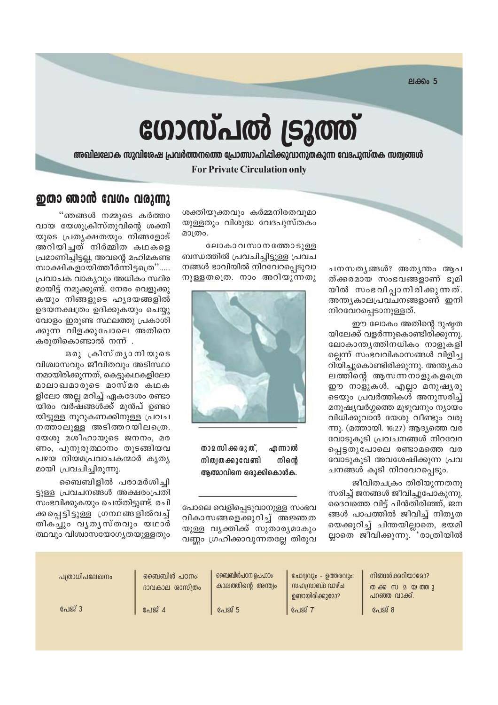**ലക്കം 5** 

# ഗോസ്പൽ ട്രൂത്ത്

അഖിലലോക സുവിശേഷ പ്രവർത്തനത്തെ പ്രോത്സാഹിപ്പിക്കുവാനുതകുന്ന വേദപുസ്തക സത്വങ്ങൾ

## **For Private Circulation only**

ശക്തിയുക്തവും കർമ്മനിരതവുമാ യുള്ളതും വിശുദ്ധ വേദപുസ്തകം മാത്രം.

ലോകാവസാനത്തോടുള്ള ബന്ധത്തിൽ പ്രവചിച്ചിട്ടുള്ള പ്രവച നങ്ങൾ ഭാവിയിൽ നിറവേറപ്പെടുവാ നുള്ളതത്രെ. നാം അറിയുന്നതു



താമസിക്കരുത്, എന്നാൽ നിത്വതക്കുവേണ്ടി നിന്റെ ആത്മാവിനെ ഒരുക്കികൊൾക.

പോലെ വെളിപ്പെടുവാനുള്ള സംഭവ വികാസങ്ങളെക്കുറിച്ച് അജ്ഞത യുള്ള വൃക്തിക്ക് സുതാര്യമാകും വണ്ണം ഗ്രഹിക്കാവുന്നതല്ലേ തിരുവ

# ഇതാ ഞാൻ വേഗം വരുന്നു

"ഞങ്ങൾ നമ്മുടെ കർത്താ വായ യേശുക്രിസ്തുവിന്റെ ശക്തി യുടെ പ്രത്യക്ഷതയും നിങ്ങളോട് അറിയിച്ചത് നിർമ്മിത കഥകളെ പ്രമാണിച്ചിട്ടല്ല, അവന്റെ മഹിമകണ്ട സാക്ഷികളായിത്തീർന്നിട്ടത്രെ"..... പ്രവാചക വാകൃവും അധികം സ്ഥിര മായിട്ട് നമുക്കുണ്ട്. നേരം വെളുക്കു കയും നിങ്ങളുടെ ഹൃദയങ്ങളിൽ ഉദയനക്ഷത്രം ഉദിക്കുകയും ചെയ്യു വോളം ഇരുണ്ട സ്ഥലത്തു പ്രകാശി ക്കുന്ന വിളക്കുപോലെ അതിനെ കരുതികൊണ്ടാൽ നന്ന് .

ഒരു ക്രിസ്തൃാനിയുടെ വിശ്വാസവും ജീവിതവും അടിസ്ഥാ നമായിരിക്കുന്നത്, കെട്ടുകഥകളിലോ മാലാഖമാരുടെ മാസ്മര കഥക ളിലോ അല്ല മറിച്ച് ഏകദേശം രണ്ടാ യിരം വർഷങ്ങൾക്ക് മുൻപ് ഉണ്ടാ യിട്ടുള്ള നുറുകണക്കിനുള്ള പ്രവച നത്താലുള്ള അടിത്തറയിലത്രെ. യേശു മശീഹായുടെ ജനനം, മര ണം, പുനൂരുത്ഥാനം തുടങ്ങിയവ പഴയ നിയമപ്രവാചകന്മാർ കൃതൃ മായി പ്രവചിച്ചിരുന്നു.

ബൈബിളിൽ പരാമർശിച്ചി ട്ടുള്ള പ്രവചനങ്ങൾ അക്ഷരംപ്രതി സംഭവിക്കുകയും ചെയ്തിട്ടുണ്ട്. രചി ക്കപ്പെട്ടിട്ടുള്ള ഗ്രന്ഥങ്ങളിൽവച്ച് തികച്ചും വൃതൃസ്തവും യഥാർ ത്ഥവും വിശ്വാസയോഗ്യതയുള്ളതും

| പത്രാധിപലേഖനം | ഞൈബിൾ പഠനം:<br>ഭാവകാല ശാസ്ത്രം | ബൈബിൾപഠന ഉപപാഠം:<br>കാലത്തിന്റെ അന്ത്വം | ചോദ്വവും - ഉത്തരവും:<br>സഹസ്രാബ്ദ വാഴ്ച<br>ഉണ്ടായിരിക്കുമോ? | നിങ്ങൾക്കറിയാമോ?<br>പറഞ്ഞ വാക്ക്. |
|---------------|--------------------------------|-----------------------------------------|-------------------------------------------------------------|-----------------------------------|
| പേജ് 3        | പേജ് 4                         | പേജ് 5                                  | <b>പേ</b> ജ് 7                                              | പേജ് 8                            |

ചനസതൃങ്ങൾ? അതൃന്തം ആപ ത്ക്കരമായ സംഭവങ്ങളാണ് ഭൂമി യിൽ സംഭവിപ്പാനിരിക്കുന്നത്. അന്ത്യകാലപ്രവചനങ്ങളാണ് ഇനി നിറവേറപ്പെടാനുള്ളത്.

ഈ ലോകം അതിന്റെ ദുഷ്ടത യിലേക്ക് വളർന്നുകൊണ്ടിരിക്കുന്നു. ലോകാന്ത്യത്തിനധികം നാളുകളി ല്ലെന്ന് സംഭവവികാസങ്ങൾ വിളിച്ച റിയിച്ചുകൊണ്ടിരിക്കുന്നു. അന്ത്യകാ ലത്തിന്റെ ആസന്നനാളുകളു്രെ ഈ നാളുകൾ. എല്ലാ മനുഷ്യരു ടെയും പ്രവർത്തികൾ അനുസരിച്ച് മനുഷ്യവർഗ്ഗത്തെ മുഴുവനും ന്യായം വിധിക്കുവാൻ യേശു വീണ്ടും വരു ന്നു. (മത്തായി. 16:27) ആദ്യത്തെ വര വോടുകൂടി പ്രവചനങ്ങൾ നിറവേറ പ്പെട്ടതുപോലെ രണ്ടാമത്തെ വര വോടുകൂടി അവശേഷിക്കുന്ന പ്രവ ചനങ്ങൾ കൂടി നിറവേറപ്പെടും.

ജീവിതചക്രം തിരിയുന്നതനു സരിച്ച് ജനങ്ങൾ ജീവിച്ചുപോകുന്നു. ദൈവത്തെ വിട്ട് പിൻതിരിഞ്ഞ്, ജന ങ്ങൾ പാപത്തിൽ ജീവിച്ച് നിത്യത യെക്കുറിച്ച് ചിന്തയില്ലാതെ, ഭയമി ല്ലാതെ ജിവിക്കുന്നു.്്രാത്രിയിൽ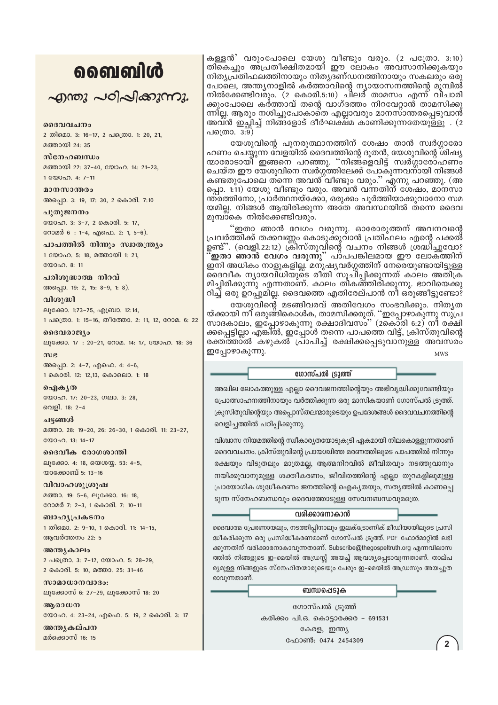# ൭൭ഩ൏൮഻഻഻൪

എന്തു പഠിപ്പിക്കുന്നു.

#### ദൈവവചനം

2 തിമൊ. 3: 16-17, 2 പത്രൊ. 1: 20, 21, മത്തായി 24: 35

#### സ്നേഹബന്ധം

മത്തായി 22: 37-40, യോഹ. 14: 21-23, 1 00000. 4: 7-11

മാനസാന്തരം അപ്പൊ. 3: 19, 17: 30, 2 കൊരി. 7:10

പുതുജനനം യോഹ. 3: 3-7, 2 കൊരി. 5: 17, റോമർ 6: 1-4, എഫെ. 2: 1, 5-6).

പാപത്തിൽ നിന്നും സ്വാതന്ത്ര്യം 1 യോഹ. 5: 18, മത്തായി 1: 21, യോഹ. 8: 11

പരിശുദ്ധാത്മ നിറവ് അപ്പൊ. 19: 2, 15: 8-9, 1: 8).

വിശുദ്ധി ലൂക്കോ. 1:73-75, എബ്രാ. 12:14, 1 പത്രൊ. 1: 15-16, തീത്തോ. 2: 11, 12, റോമ. 6: 22

ദൈവരാജ്യം ലൂക്കോ. 17: 20-21, റോമ. 14: 17, യോഹ. 18: 36

 $m$ ) $\epsilon$ അപ്പൊ. 2: 4-7, എഫെ. 4: 4-6, 1 കൊരി. 12: 12,13, കൊലൊ. 1: 18

ഐകൃത യോഹ. 17: 20-23, ഗലാ. 3: 28, വെളി. 18: 2-4

ചട്ടങ്ങൾ മത്താ. 28: 19-20, 26: 26-30, 1 കൊരി. 11: 23-27, യോഹ. 13: 14-17

ദൈവീക രോഗശാന്തി ലൂക്കോ. 4: 18, യെശയ്യ. 53: 4-5, യാക്കോബ് 5: 13-16

വിവാഹശൂശ്രൂഷ മത്താ. 19: 5-6, ലുക്കോ. 16: 18, റോമർ 7: 2-3, 1 കൊരി. 7: 10-11

ബാഹൃപ്രകടനം 1 തിമൊ. 2: 9-10, 1 കൊരി. 11: 14-15, ആവർത്തനം 22: 5

അന്ത്യകാലം 2 പക്രൊ. 3: 7-12, യോഹ. 5: 28-29, 2 കൊരി. 5: 10, മത്താ. 25: 31-46

സാമാധാനവാദം: ലൂക്കോസ് 6: 27-29, ലൂക്കോസ് 18: 20

ആരാധന യോഹ. 4: 23-24, എഫെ. 5: 19, 2 കൊരി. 3: 17

അന്തൃകല്പന മർക്കൊസ് 16: 15

കള്ളൻ $\degree$  വരുംപോലെ യേശു വീണ്ടും വരും. (2 പത്രോ. 3:10) തികെച്ചും അ്പ്രതീക്ഷിതമായി ഈ ലോകം അവസാനിക്കുകയും നിത്യപ്രതിഫലത്തിനായും നിതൃദണ്ഡനത്തിനായും സകലരും ഒരു പോലെ, അന്ത്യനാളിൽ കർത്താവിന്റെ ന്യായാസനത്തിന്റെ മുമ്പിൽ നിൽക്കേണ്ടിവരും. (2 കൊരി.5:10) ചിലർ താമസം എന്ന് വിചാരി ക്കുംപോലെ കർത്താവ് തന്റെ വാഗ്ദത്തം നിറവേറ്റാൻ താമസിക്കു ന്നില്ല. ആരും നശിച്ചുപോകാതെ എല്ലാവരും മാനസ്ാന്തരപ്പെടുവാൻ അവ്ൻ ഇച്ഛിച്ച് നിങ്ങ്ളോട് ദീർഘ്ക്ഷ്മ കാണിക്കുന്നതേയുള്ളു . (2 പത്രൊ. 3:9)

യേശുവിന്റെ പുനരുത്ഥാനത്തിന് ശേഷം താൻ സ്വർഗ്ഗാരോ ഹണം ചെയ്യുന്ന വേളയിൽ ദൈവത്തിന്റെ ദുതൻ, യേശുവിന്റെ ശിഷ്യ ന്മാരോടായി് ഇങ്ങനെ പറഞ്ഞു. "നിങ്ങളെവിട്ട് സ്വർഗ്ഗാരോഹണം ചെയ്ത ഈ യേശുവിനെ സ്വർഗ്ഗത്തിലേക്ക് പോകുന്നവനായി നിങ്ങൾ കണ്ടതുപോലെ തന്നെ അവൻ് വീണ്ടും വരും.'' എന്നു പറഞ്ഞു. (അ പ്പൊ. 1:11) യേശു വീണ്ടും വരും. അവൻ വന്നതിന് ശേഷം, മാനസാ ന്ത്രത്തിനോ, പ്രാർത്ഥനയ്ക്കോ, ഒരുക്കം പൂർത്തിയാക്കുവാനോ സമ യമില്ല. നിങ്ങൾ ആയിരിക്കുന്ന അതേ അവസ്ഥയിൽ തന്നെ ദൈവ മുമ്പാകെ നിൽക്കേണ്ടിവരും.

"ഇതാ ഞാൻ വേഗം വരുന്നു. ഓരോരുത്തന് അവനവന്റെ പ്രവർത്തിക്ക് തക്കവണ്ണം കൊടുക്കുവാൻ പ്രതിഫലം എന്റെ പക്കൽ് ഉണ്ട്". (വെളി.22:12) ക്രിസ്തുവിന്റെ വചനം നിങ്ങൾ ശ്രദ്ധിച്ചുവോ? 'ഇതാ ഞാൻ വേഗം വരുന്നു'' പാപപങ്കിലമായ ഈ ലോക്ത്തിന് ഇനി അധികം നാളുകളില്ല. മനുഷ്യവർഗ്ഗത്തിന് നേരെയുണ്ടായിട്ടുള്ള ദൈവീക ന്യായവിധിയുടെ രീതി സൂചിപ്പിക്കുന്നത് കാലം അതിക്ര മിച്ചിരിക്കുന്നു എന്നതാണ്. കാലം തികഞ്ഞിരിക്കുന്നു. ഭാവിയെക്കു റിച്ച് ഒരു ഉറപ്പുമില്ല. ദൈവത്തെ എതിരേല്പാൻ നീ ഒരുങ്ങീട്ടുണ്ടോ?

യേശുവിന്റെ മടങ്ങിവരവ് അതിവേഗം സംഭവിക്കും. നിതൃത<br>യ്ക്കായി നീ ഒരുങ്ങികൊൾക, താമസിക്കരുത്. ''ഇപ്പോഴാകുന്നു സുപ്ര സാദകാലം, ഇപ്പോഴാകുന്നു രക്ഷാദിവസം" (2കൊരി 6:2) നീ രക്ഷി ക്കപ്പെട്ടില്ലാ എങ്കിൽ, ഇപ്പോൾ തന്നെ പാപത്തെ വിട്ട്, ക്രിസ്തുവിന്റെ രക്തത്താൽ കഴുകൽ പ്രാപിച്ച് രക്ഷിക്കപ്പെടുവാനുള്ള അവസരം ഇപ്പോഴാകുന്നു. **MWS** 

ഗോസ്പൽ ട്രൂത്ത്

അഖില ലോകത്തുള്ള എല്ലാ ദൈവജനത്തിന്റെയും അഭിവൃദ്ധിക്കുവേണ്ടിയും പ്രോത്സാഹനത്തിനായും വർത്തിക്കുന്ന ഒരു മാസികയാണ് ഗോസ്പൽ ട്രുത്ത്. ക്രുസിതുവിന്റെയും അപ്പൊസ്തലന്മാരുടെയും ഉപദേശങ്ങൾ ദൈവവചനത്തിന്റെ വെളിച്ചത്തിൽ പഠിപ്പിക്കുന്നു.

വിശ്വാസ നിയമത്തിന്റെ സ്വീകാര്യതയോടുകൂടി ഏകമായി നിലകൊള്ളുന്നതാണ് ദൈവവചനം. ക്രിസ്തുവിന്റെ പ്രായശ്ചിത്ത മരണത്തിലൂടെ പാപത്തിൽ നിന്നും രക്ഷയും വിടുതലും മാത്രമല്ല, ആത്മനിറവിൽ ജീവിതവും നടത്തുവാനും നയിക്കുവാനുമുള്ള ശക്തീകരണം, ജീവിതത്തിന്റെ എല്ലാ തുറകളിലുമുള്ള പ്രായോഗിക ശുദ്ധീകരണം ജനത്തിന്റെ ഐക്യതയും, സത്യത്തിൽ കാണപ്പെ ടുന്ന സ്നേഹബന്ധവും ദൈവത്തോടുള്ള സേവനബന്ധവുമത്രെ.

#### വരിക്കാരനാകാൻ

ദൈവാത്മ പ്രേരണായലും, നടത്തിപ്പിനാലും ഇലക്ട്രോണിക് മീഡിയായിലുടെ പ്രസി ദ്ധീകരിക്കുന്ന ഒരു പ്രസിദ്ധീകരണമാണ് ഗോസ്പൽ ട്രുത്ത്. PDF ഫോർമാറ്റിൽ ലഭി ക്കുന്നതിന് വരിക്കാരനാകാവുന്നതാണ്. Subscribe@thegospeltruth.org എന്നവിലാസ ത്തിൽ നിങ്ങളുടെ ഇ-മെയിൽ അഡ്രസ്സ് അയച്ച് ആവശ്യപ്പെടാവുന്നതാണ്. താല്പ ര്യമുള്ള നിങ്ങളുടെ സ്നേഹിതന്മാരുടെയും പേരും ഇ-മെയിൽ അഡ്രസും അയച്ചുത രാവുന്നതാണ്.

ബന്ധപ്പെടുക

ഗോസ്പൽ ട്രുത്ത് കരിക്കം പി.ഒ. കൊട്ടാരക്കര - 691531 കേരള, ഇന്ത്യ ഫോൺ: 0474 2454309

 $\overline{2}$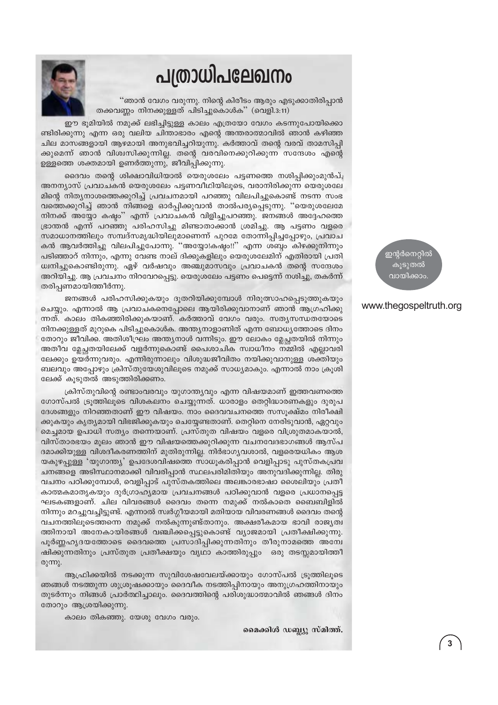# പത്രാധിപലേഖനം

"ഞാൻ വേഗം വരുന്നു. നിന്റെ കിരീടം ആരും എടുക്കാതിരിപ്പാൻ തക്കവണ്ണം നിനക്കുള്ളത് പിടിച്ചുകൊൾക്" (വെളി.3:11)

ഈ ഭൂമിയിൽ നമുക്ക് ലഭിച്ചിട്ടുള്ള കാലം എത്രയോ വേഗം കടന്നുപോയിക്കൊ ണ്ടിരിക്കുന്നു എന്ന ഒരു വലിയ ചിന്താഭാരം എന്റെ അന്തരാത്മാവിൽ ഞാൻ കഴിഞ്ഞ ചില മാസങ്ങളായി ആഴമായി അനുഭവിച്ചറിയുന്നു. കർത്താവ് തന്റെ വരവ് താമസിപ്പി ക്കുമെന്ന് ഞാൻ വിശ്വസിക്കുന്നില്ല. തന്റെ വരവിനെക്കുറിക്കുന്ന സന്ദേശം എന്റെ ഉള്ളത്തെ ശക്തമായി ഉണർത്തുന്നു, ജീവിപ്പിക്കുന്നു.

ദൈവം തന്റെ ശിക്ഷാവിധിയാൽ യെരുശലേം പട്ടണത്തെ നശിപ്പിക്കുംമുൻപ്, അനന്യാസ് പ്രവാചകൻ യെരുശലേം പട്ടണവീഥിയിലുടെ, വരാനിരിക്കുന്ന യെരുശലേ മിന്റെ നിത്യനാശത്തെക്കുറിച്ച് പ്രവചനമായി പറഞ്ഞു വിലപിച്ചുകൊണ്ട് നടന്ന സംഭ വത്തെക്കുറിച്ച് ഞാൻ നിങ്ങളെ ഓർപ്പിക്കുവാൻ താൽപര്യപ്പെടുന്നു. "യെരുശലേമേ നിനക്ക് അയ്യോ കഷ്ടം'' എന്ന് പ്രവാചകൻ വിളിച്ചുപറഞ്ഞു. ജനങ്ങൾ അദ്ദേഹത്തെ ഭ്രാന്തൻ എന്ന് പറഞ്ഞു പരിഹസിച്ചു മിണ്ടാതാക്കാൻ ശ്രമിച്ചു. ആ പട്ടണം വളരെ സമാധാനത്തിലും സമ്പദ്സമൃദ്ധിയിലുമാണെന്ന് പുറമേ തോന്നിപ്പിച്ചപ്പോഴും, പ്രവാച കൻ ആവർത്തിച്ചു വിലപിച്ചുപോന്നു. ''അയ്യോ!കഷ്യം!!'' എന്ന ശബ്യം കിഴക്കുനിന്നും ്പടിഞ്ഞാറ് നിന്നും, എന്നു വേണ്ട നാല് ദിക്കുകളിലും യെരുശലേമിന് എതിരായി പ്രതി ധ്വനിച്ചുകൊണ്ടിരുന്നു. ഏഴ് വർഷവും അഞ്ചുമാസവും പ്രവാചകൻ തന്റെ സന്ദേശം അറിയിച്ചു. ആ പ്രവചനം നിറവേറപ്പെട്ടു. യെരുശലേം പട്ടണം പെട്ടെന്ന് നശിച്ചു, തകർന്ന് തരിപ്പണമായിത്തീർന്നു.

ജനങ്ങൾ പരിഹസിക്കുകയും ദുതറിയിക്കുമ്പോൾ നിരുത്സാഹപ്പെടുത്തുകയും ചെയ്യും. എന്നാൽ ആ പ്രവാചകനെപ്പോലെ ആയിരിക്കുവാനാണ് ഞാൻ ആഗ്രഹിക്കു ന്നത്. കാലം തികഞ്ഞിരിക്കുകയാണ്. കർത്താവ് വേഗം വരും. സത്യസന്ധതയോടെ നിനക്കുള്ളത് മുറുകെ പിടിച്ചുകൊൾക. അന്ത്യനാളാണിത് എന്ന ബോധ്യത്തോടെ ദിനം തോറും ജീവിക്ക. അതിശീഘ്രം അന്ത്യനാൾ വന്നിടും. ഈ ലോകം മ്ലേച്ഛതയിൽ നിന്നും അതീവ മ്ലേച്ചതയിലേക്ക് വളർന്നുകൊണ്ട് പൈശാചിക സ്വാധീനം നമ്മിൽ എല്ലാവരി ലേക്കും ഉയർന്നുവരും. എന്നിരുന്നാലും വിശുദ്ധജീവിതം നയിക്കുവാനുള്ള ശക്തിയും ബലവും അപ്പോഴും ക്രിസ്തുയേശുവിലൂടെ നമുക്ക് സാധ്യമാകും. എന്നാൽ നാം ക്രൂശി ലേക്ക് കൂടുതൽ അടുത്തിരിക്കണം.

ക്രിസ്തുവിന്റെ രണ്ടാംവരവും യുഗാന്ത്യവും എന്ന വിഷയമാണ് ഇത്തവണത്തെ ഗോസ്പൽ ട്രൂത്തിലൂടെ വിശകലനം ചെയ്യുന്നത്. ധാരാളം തെറ്റിദ്ധാരണകളും ദുരുപ ദേശങ്ങളും നിറഞ്ഞതാണ് ഈ വിഷയം. നാം ദൈവവചനത്തെ സസൂക്ഷ്മം നിരീക്ഷി ക്കുകയും കൃത്യമായി വിഭജിക്കുകയും ചെയ്യേണ്ടതാണ്. തെറ്റിനെ നേരിടുവാൻ, ഏറ്റവും മെച്ചമായ ഉപാധി സത്യം തന്നെയാണ്. പ്രസ്തുത വിഷയം വളരെ വിശ്രുതമാകയാൽ, വിസ്താരഭയം മൂലം ഞാൻ ഈ വിഷയത്തെക്കുറിക്കുന്ന വചനവേദഭാഗങ്ങൾ ആസ്പ ദമാക്കിയുള്ള വിശദീകരണത്തിന് മുതിരുന്നില്ല. നിർഭാഗ്യവശാൽ, വളരെയധികം ആശ യകുഴപ്പുള്ള 'യുഗാന്ത്യ' ഉപദേശവിഷത്തെ സാധൂകരിപ്പാൻ വെളിപ്പാടു പുസ്തകപ്രവ ചനങ്ങളെ അടിസ്ഥാനമാക്കി വിവരിപ്പാൻ സ്ഥലപരിമിതിയും അനുവദിക്കുന്നില്ല. തിരു വചനം പഠിക്കുമ്പോൾ, വെളിപ്പാട് പുസ്തകത്തിലെ അലങ്കാരഭാഷാ ശൈലിയും പ്രതീ കാത്മകമാതൃകയും ദുർഗ്രാഹ്യമായ പ്രവചനങ്ങൾ പഠിക്കുവാൻ വളരെ പ്രധാനപ്പെട്ട ഘടകങ്ങളാണ്. ചില വിവരങ്ങൾ ദൈവം തന്നെ നമുക്ക് നൽകാതെ ബൈബിളിൽ നിന്നും മറച്ചുവച്ചിട്ടുണ്ട്. എന്നാൽ സ്വർഗ്ഗീയമായി മതിയായ വിവരണങ്ങൾ ദൈവം തന്റെ വചനത്തിലൂടെത്തന്നെ നമുക്ക് നൽകുന്നുണ്ട്താനും. അക്ഷരീകമായ ഭാവി രാജ്യത്വ ത്തിനായി അനേകായിരങ്ങൾ വഞ്ചിക്കപ്പെട്ടുകൊണ്ട് വ്യാജമായി പ്രതീക്ഷിക്കുന്നു. പൂർണ്ണഹ്യദയത്തോടെ ദൈവത്തെ പ്രസാദിപ്പിക്കുന്നതിനും തീരുനാമത്തെ അന്വേ ഷിക്കുന്നതിനും പ്രസ്തുത പ്രതീക്ഷയും വൃഥാ കാത്തിരുപ്പും ഒരു തടസ്സമായിത്തീ രുന്നു.

ആഫ്രിക്കയിൽ നടക്കുന്ന സുവിശേഷവേലയ്ക്കായും ഗോസ്പൽ ട്രൂത്തിലൂടെ ഞങ്ങൾ നടത്തുന്ന ശുശ്രൂഷക്കായും ദൈവീക നടത്തിപ്പിനായും അനുഗ്രഹത്തിനായും തുടർന്നും നിങ്ങൾ പ്രാർത്ഥിച്ചാലും. ദൈവത്തിന്റെ പരിശുദ്ധാത്മാവിൽ ഞങ്ങൾ ദിനം തോറും ആശ്രയിക്കുന്നു.

കാലം തികഞ്ഞു. യേശു വേഗം വരും.

മൈക്കിൾ ഡബ്ല്യൂ സ്മിത്ത്.

ഇന്റർനെറ്റിൽ കുടുതൽ വായിക്കാം

# www.thegospeltruth.org

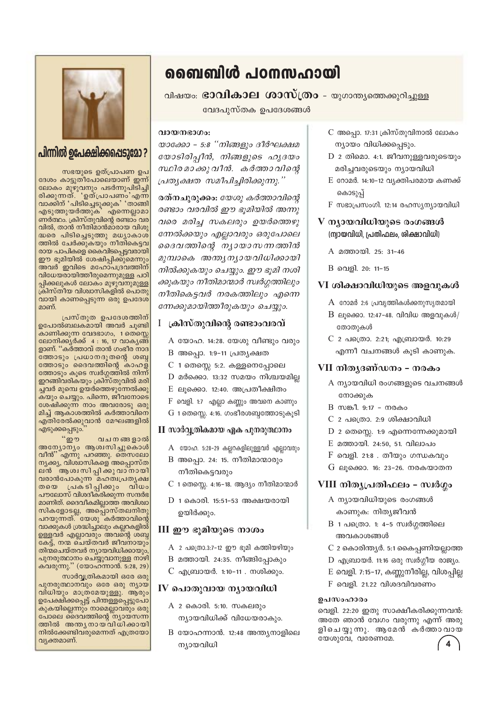

# പിന്നിൽ ഉപേക്ഷിക്കപ്പെടുമോ?

സഭയുടെ ഉത്പ്രാപണ ഉപ ദേശം കാട്ടുതീപോലെയാണ് ഇന്ന് ലോകം മുഴുവനും പടർന്നുപിടിച്ചി<br>രിക്കുന്നത്. 'ഉത്പ്രാപണം'എന്ന വാക്കിന് 'പിടിച്ചെടുക്കുക' 'താങ്ങി .എടുത്തുയർത്തുക്` എന്നെല്ലാമാ<br>ണർത്ഥം. ക്രിസ്തുവിന്റെ രണ്ടാം വര വിൽ, താൻ നീതിമാൻമാരായ വിശു ്ച്യം പിടിച്ചെടുത്തു മധ്യാകാശ<br>ത്തിൽ ചേർക്കുകയും നീതികെട്ടവ രായ പാപികളെ കൈവിടപ്പെട്ടവരായി ഈ ഭൂമിയിൽ ശേഷിപ്പിക്കുമെന്നും അവർ ഇവിടെ മഹോപദ്രവത്തിന് വിധേയരായിത്തീരുമെന്നുമുള്ള പഠി പ്പിക്കലുകൾ ലോക്ം മുഴുവനുമുള്ള<br>ക്രിസ്തീയ വിശ്വാസികളിൽ പൊതു വായി കാണപ്പെടുന്ന ഒരു ഉപദേശ് മാണ്.

പ്രസ്തുത ഉപദേശത്തിന് ഉപോൽബലകമായി അവർ ചൂണ്ടി കാണിക്കുന്ന വേദഭാഗം, 1 തെസ്സെ ലോനിക്കുർക്ക് 4 : 16, 17 വാകൃങ്ങ ളാണ്. "കർത്താവ് താൻ ഗംഭീര നാദ \_<br>തോടും പ്രധാനദൂതന്റെ ശബ്ദ<br>തോടും ദൈവത്തിന്റെ കാഹള് ത്തോടും കൂടെ സ്വർഗ്ഗത്തിൽ നിന്ന് ഇറങ്ങിവരികയും ക്രിസ്തുവിൽ മരി ച്ചവർ മുമ്പെ ഉയർത്തെഴുന്നേൽക്കു കയും ചെയ്യും. പിന്നെ, ജീവനോടെ ശേഷിക്കുന്ന് നാം അവരോടു ഒരു<br>മിച്ച് ആകാശത്തിൽ കർത്താവിനെ എതിരേൽക്കുവാൻ മേഘങ്ങളിൽ എടുക്കപ്പെടും.

 $\alpha$ ற் വചനങ്ങളാൽ അന്യോന്യം ആശിസിച്ചുകൊൾ<br>വീൻ" എന്നു പറഞ്ഞു. തെസലോ നൃക്കൃ, വിശ്ചാസികളെ അപ്പൊസ്ത പാര്ഷമാകുന്ന പാര്ത്താപ്പരുമ്പ<br>തയെ പ്രകടിപ്പിക്കും വിധം<br>പൗലോസ് വിശദീകരിക്കുന്ന സന്ദർഭ മാണിത്. ദൈവീകമില്ലാത്ത അവിശ്വാ സികളോടല്ല, അപ്പൊസ്തലനിതു പറയുന്നത്.് യേശു ്കർത്താവിന്റെ ്ടുകുന്നത്.<br>വാക്കുകൾ ശ്രദ്ധിച്ചാലും കല്ലറകളിൽ<br>ഉള്ളവർ എല്ലാവരും അവന്റെ ശബ്ദ കേട്ട്, നന്മ ചെയ്തവർ ജീവനായും തിന്മചെയ്തവർ ന്യായവിധിക്കായും പുനരുത്ഥാനം ചെയ്യുവാനുള്ള നാഴി കവരുന്നു." (യോഹ്ന്നാൻ. 5:28, 29)

സാർവ്വത്രികമായി ഒരേ ഒരു പുനരുത്ഥാനവും ഒരേ ഒരു ന്യായ കുകയില്ലെന്നും നാമെല്ലാവരും ഒരു പോലെ ദൈവത്തിന്റെ ന്യായസന്ന ത്തിൽ അന്ത്യനായവിധിക്കായി നിൽക്കേണ്ടിവരുമെന്നത് എത്രയോ വ്യക്തമാണ്.

# ബൈബിൾ പഠനസഹായി

വിഷയം: **ഭാവികാല ശാസ്ത്രം** - യുഗാന്ത്യത്തെക്കുറിച്ചുള്ള

വേദപുസ്തക ഉപദേശങ്ങൾ

# വായനഭാഗം:

യാക്കോ - 5:8 "നിങ്ങളും ദീർഘക്ഷമ യോടിരിപ്പീൻ, നിങ്ങളുടെ ഹൃദയം സ്ഥിരമാക്കു വീൻ. കർത്താ വിന്റെ പ്രത്യക്ഷത സമീപിച്ചിരിക്കുന്നു.''

രത്നചുരുക്കം: യേശു കർത്താവിന്റെ രണ്ടാം വരവിൽ ഈ ഭുമിയിൽ അന്നു വരെ മരിച്ച സകലരും ഉയർത്തെഴു ന്നേൽക്കയും എല്ലാവരും ഒരുപോലെ ദൈവത്തിന്റെ ന്യായാസന്നത്തിൻ മുമ്പാകെ അന്ത്യന്യായവിധിക്കായി നിൽക്കുകയും ചെയ്യും. ഈ ഭൂമി നശി ക്കുകയും നീതിമാന്മാർ സ്വർഗ്ഗത്തിലും നീതികെട്ടവർ നരകത്തിലും എന്നെ ന്നേക്കുമായിത്തീരുകയും ചെയ്യും.

# I ്കിസ്തുവിന്റെ രണ്ടാംവരവ്

- A യോഹ. 14:28. യേശു വീണ്ടും വരും
- B അപ്പൊ. 1:9-11 പ്രത്യക്ഷത
- $C$  1 തെസ്സെ 5:2. കള്ളനെപ്പോലെ
- $D$  മർക്കൊ. 13:32 സമയം നിശ്ചയമില്ല
- $E$  ലൂക്കൊ. 12:40. അപ്രതീക്ഷിതം
- $F$  വെളി. 1:7 എല്ലാ കണ്ണും അവനെ കാണും
- $G$  1 തെസ്സെ. 4:16. ഗംഭീരശബ്ദത്തോടുകൂടി

# $\Pi$  സാർവ്വതികമായ ഏക പുനരുത്ഥാനം

- A യോഹ. 5:28-29 കല്ലറകളിലുള്ളവർ എല്ലാവരും
- B അപ്പൊ. 24: 15. നീതിമാന്മാരും നീതികെട്ടവരും
- C 1 തെസ്സെ. 4:16-18. ആദ്യം നീതിമാന്മാർ
- $D$  1 കൊരി. 15:51-53 അക്ഷയരായി ഉയിർക്കും.

# $III$  ഈ ഭൂമിയുടെ നാശം

- $A$  2 പത്രൊ.3:7-12 ഈ ഭൂമി കത്തിയഴിയും
- B മത്തായി. 24:35. നീങ്ങിപ്പോകും
- C എബ്രായർ. 1:10-11 . നശിക്കും.

# $IV$  പൊതുവായ ന്യായവിധി

- A 2 കൊരി. 5:10. സകലരും ന്യായവിധിക്ക് വിധേയരാകും.
- B യോഹന്നാൻ. 12:48 അന്ത്യനാളിലെ ന്യായവിധി
- C അപ്പൊ. 17:31 ക്രിസ്തുവിനാൽ ലോകം ന്യായം വിധിക്കപ്പെടും.
- $D$  2 തിമൊ. 4:1. ജീവനുള്ളവരുടെയും മരിച്ചവരുടെയും ന്യായവിധി
- $E$  റോമർ. 14:10-12 വ്യക്തിപരമായ കണക്ക് കൊടുപ്പ്
- $F$  സഭാപ്രസംഗി. 12:14 രഹസ്യന്യായവിധി
- V ന്യായവിധിയുടെ രംഗങ്ങൾ (ന്വായവിധി, പ്രതിഫലം, ശിക്ഷാവിധി)
	- A മത്തായി. 25: 31-46
	- B വെളി. 20: 11-15

# VI ശിക്ഷാവിധിയുടെ അളവുകൾ

- $A$  റോമർ 2:6 പ്രവൃത്തികൾക്കനുസൃതമായി
- $B$  ലൂക്കൊ. 12:47-48. വിവിധ അളവുകൾ/ തോതുകൾ
- C 2 പത്രൊ. 2:21; എബ്രായർ. 10:29 എന്നീ വചനങ്ങൾ കൂടി കാണുക.

# VII നിതൃദണ്ഡനം – നരകം

- A ന്യായവിധി രംഗങ്ങളുടെ വചനങ്ങൾ നോക്കുക
- B സങ്കീ. 9:17 നരകം
- $C$  2 പത്രൊ. 2:9 ശിക്ഷാവിധി
- $D$  2 തെസ്സെ. 1:9 എന്നെന്നേക്കുമായി
- E മത്തായി. 24:50, 51. വിലാപം
- $F$  വെളി. 21:8 . തീയും ഗന്ധകവും
- G ലൂക്കൊ. 16: 23-26. നരകയാതന

# VIII നിതൃപ്രതിഫലം - സ്വർഗ്ഗം

- A ന്യായവിധിയുടെ രംഗങ്ങൾ കാണുക: നിത്യജീവൻ
- $B$  1 പത്രൊ. 1: 4-5 സ്വർഗ്ഗത്തിലെ അവകാശങ്ങൾ
- C 2 കൊരിന്ത്യർ. 5:1 കൈപ്പണിയല്ലാത്ത
- $D$  എബ്രായർ. 11:16 ഒരു സ്വർഗ്ഗീയ രാജ്യം.
- E വെളി. 7:15-17, കണ്ണുനീരില്ല, വിശപ്പില്ല
- $F$  വെളി. 21.22 വിശദവിവരണം

# ഉപസംഹാരം

വെളി. 22:20 ഇതു സാക്ഷീകരിക്കുന്നവൻ: അതേ ഞാൻ വേഗം വരുന്നു എന്ന് അരു ളിചെയുന്നു. ആമേൻ കർത്താവായ യേശുവേ, വരേണമേ.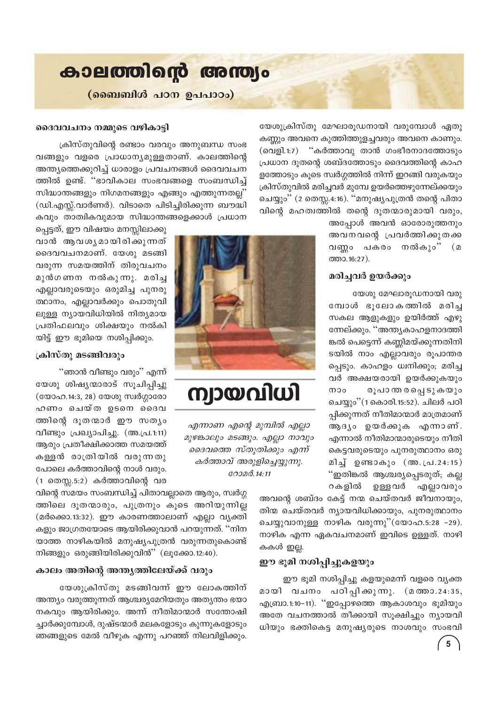

യേശുക്രിസ്തു മേഘാരൂഡനായി വരുമ്പോൾ ഏതു കണ്ണും അവനെ കുത്തിത്തുളച്ചവരും അവനെ കാണും. (വെളി.1:7) "കർത്താവു താൻ ഗംഭീരനാദത്തോടും പ്രധാന ദൂതന്റെ ശബ്ദത്തോടും ദൈവത്തിന്റെ കാഹ ളത്തോടും കൂടെ സ്വർഗ്ഗത്തിൽ നിന്ന് ഇറങ്ങി വരുകയും ക്രിസ്തുവിൽ മരിച്ചവർ മുമ്പേ ഉയർത്തെഴുന്നേല്ക്കയും ചെയ്യും'' (2 തെസ്സ.4:16). ''മനുഷ്യപുത്രൻ തന്റെ പിതാ വിന്റെ മഹത്വത്തിൽ തന്റെ ദൂതന്മാരുമായി വരും,

അപ്പോൾ അവൻ ഓരോരുത്തനും അവനവന്റെ പ്രവർത്തിക്കുതക്ക വണ്ണം പകരം നൽകും" (മ ത്താ. 16:27).

### മരിച്ചവർ ഉയർക്കും

യേശു മേഘാരൂഡനായി വരു മ്പോൾ ഭൂലോകത്തിൽ മരിച്ച സകല ആളുകളും ഉയിർത്ത് എഴു ന്നേല്ക്കും. ''അന്ത്യകാഹളനാദത്തി ങ്കൽ പെട്ടെന്ന് കണ്ണിമയ്ക്കുന്നതിനി ടയിൽ നാം എല്ലാവരും രൂപാന്തര പ്പെടും. കാഹളം ധ്വനിക്കും; മരിച്ച വർ അക്ഷയരായി ഉയർക്കുകയും രൂപാ ന്ത ര പ്പെ ടു കയും  $000$ ചെയ്യും''(1 കൊരി.15:52). ചിലർ പഠി പ്പിക്കുന്നത് നീതിമാന്മാർ മാത്രമാണ് ആദ്യം ഉയർക്കുക എന്നാണ്. എന്നാൽ നീതിമാന്മാരുടെയും നീതി കെട്ടവരുടെയും പുനരുത്ഥാനം ഒരു മിച്ച ഉണ്ടാകും (അ.പ്.24:15) "ഇതിങ്കൽ ആശ്ചരൃപ്പെടരുത്; കല്ല റകളിൽ ഉള്ളവർ എല്ലാവരും

അവന്റെ ശബ്ദം കേട്ട് നന്മ ചെയ്തവർ ജീവനായും, തിന്മ ചെയ്തവർ ന്യായവിധിക്കായും, പുനരുത്ഥാനം ചെയ്യുവാനുള്ള നാഴിക വരുന്നു"(യോഹ.5:28 -29). നാഴിക എന്ന ഏകവചനമാണ് ഇവിടെ ഉള്ളത്. നാഴി കകൾ ഇല്ല.

#### ഈ ഭൂമി നശിപ്പിച്ചുകളയും

ഈ ഭൂമി നശിപ്പിച്ചു കളയുമെന്ന് വളരെ വ്യക്ത മായി വചനം പഠിപ്പിക്കുന്നു. (മത്താ.24:35, എബ്രാ.1:10−11). ''ഇപ്പോഴത്തെ ആകാശവും ഭൂമിയും അതേ വചനത്താൽ തീക്കായി സൂക്ഷിച്ചും ന്യായവി ധിയും ഭക്തികെട്ട മനുഷ്യരുടെ നാശവും സംഭവി

# ദൈവവചനം നമ്മുടെ വഴികാട്ടി

ക്രിസ്തുവിന്റെ രണ്ടാം വരവും അനുബന്ധ സംഭ വങ്ങളും വളരെ പ്രാധാന്യമുള്ളതാണ്. കാലത്തിന്റെ അന്ത്യത്തെക്കുറിച്ച് ധാരാളം പ്രവചനങ്ങൾ ദൈവവചന ത്തിൽ ഉണ്ട്. "ഭാവികാല സംഭവങ്ങളെ സംബന്ധിച്ച് സിദ്ധാന്തങ്ങളും നിഗമനങ്ങളും എങ്ങും എത്തുന്നതല്ല' (ഡി.എസ്സ്.വാർണർ). വിടാതെ പിടിച്ചിരിക്കുന്ന ബൗദ്ധി കവും താത്വികവുമായ സിദ്ധാന്തങ്ങളെക്കാൾ പ്രധാന

പ്പെട്ടത്, ഈ വിഷയം മനസ്സിലാക്കു വാൻ ആവശൃമായിരിക്കുന്നത് ദൈവവചനമാണ്. യേശു മടങ്ങി വരുന്ന സമയത്തിന് തിരുവചനം മുൻഗണന നൽകുന്നു. മരിച്ച എല്ലാവരുടെയും ഒരുമിച്ച പുനരു ത്ഥാനം, എല്ലാവർക്കും പൊതുവി ലുള്ള ന്യായവിധിയിൽ നിത്യമായ പ്രതിഫലവും ശിക്ഷയും നൽകി യിട്ട് ഈ ഭൂമിയെ നശിപ്പിക്കും.

## ക്രിസ്തു മടങ്ങിവരും

"ഞാൻ വീണ്ടും വരും" എന്ന് യേശു ശിഷ്യന്മാരാട് സൂചിപ്പിച്ചു (യോഹ.14:3, 28) യേശു സ്വർഗ്ഗാരോ ഹണം ചെയ്ത ഉടനെ ദൈവ ത്തിന്റെ ദൂതന്മാർ ഈ സത്യം വീണ്ടും പ്രഖ്യാപിച്ചു. (അ.പ്ര.1:11) ആരും പ്രതീക്ഷിക്കാത്ത സമയത്ത് കള്ളൻ രാത്രിയിൽ വരുന്നതു പോലെ കർത്താവിന്റെ നാൾ വരും.  $(1 \text{ nomm}, 5:2)$  കർത്താവിന്റെ വര

വിന്റെ സമയം സംബന്ധിച്ച് പിതാവല്ലാതെ ആരും, സ്വർഗ്ഗ ത്തിലെ ദൂതന്മാരും, പുത്രനും കൂടെ അറിയുന്നില്ല (മർക്കൊ.13:32). ഈ കാരണത്താലാണ് എല്ലാ വ്യക്തി കളും ജാഗ്രതയോടെ ആയിരിക്കുവാൻ പറയുന്നത്. ''നിന യാത്ത നാഴികയിൽ മനുഷ്യപുത്രൻ വരുന്നതുകൊണ്ട് നിങ്ങളും ഒരുങ്ങിയിരിക്കുവിൻ" (ലൂക്കോ.12:40).

## കാലം അതിന്റെ അന്ത്യത്തിലേയ്ക്ക് വരും

യേശുക്രിസ്തു മടങ്ങിവന്ന് ഈ ലോകത്തിന് അന്ത്യം വരുത്തുന്നത് ആശ്ചര്യമേറിയതും അത്യന്തം ഭയാ നകവും ആയിരിക്കും. അന്ന് നീതിമാന്മാർ സന്തോഷി ച്ചാർക്കുമ്പോൾ, ദുഷ്ടന്മാർ മലകളോടും കുന്നുകളോടും ഞങ്ങളുടെ മേൽ വീഴുക എന്നു പറഞ്ഞ് നിലവിളിക്കും.



# ന്വായവിധി

എന്നാണ എന്റെ മുമ്പിൽ എല്ലാ മുഴങ്കാലും മടങ്ങും. എല്ലാ നാവും ദൈവത്തെ സ്തുതിക്കും എന്ന് കർത്താവ് അരുളിച്ചെയ്യുന്നു. റോമർ. 14:11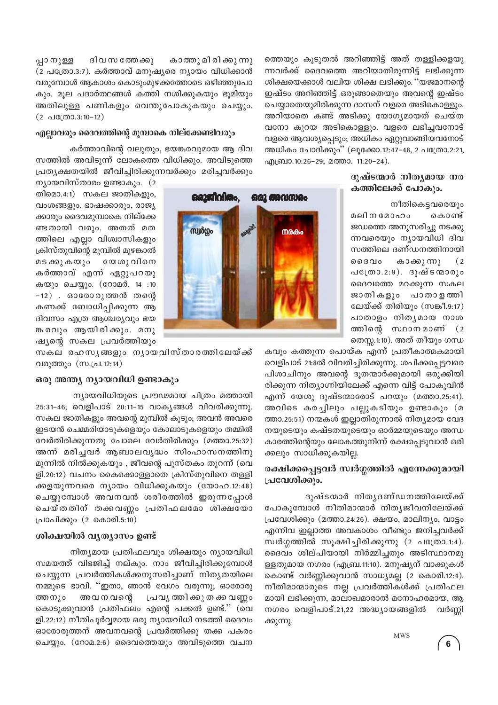പ്പാ നുള്ള ദിവ സ ത്തേക്കു കാത്തു മി രി ക്കു ന്നു (2 പത്രോ.3:7). കർത്താവ് മനുഷ്യരെ ന്യായം വിധിക്കാൻ വരുമ്പോൾ ആകാശം കൊടുംമുഴക്കത്തോടെ ഒഴിഞ്ഞുപോ കും. മൂല പദാർത്ഥങ്ങൾ കത്തി നശിക്കുകയും ഭൂമിയും അതിലുള്ള പണികളും വെന്തുപോകുകയും ചെയ്യും.  $(2 \text{ d} \mathbb{C}(\text{O} 0.3:10-12))$ 

# എല്ലാവരും ദൈവത്തിന്റെ മുമ്പാകെ നില്ക്കേണ്ടിവരും

കർത്താവിന്റെ വലുതും, ഭയങ്കരവുമായ ആ ദിവ സത്തിൽ അവിടുന്ന് ലോകത്തെ വിധിക്കും. അവിടുത്തെ പ്രത്യക്ഷതയിൽ ജീവിച്ചിരിക്കുന്നവർക്കും മരിച്ചവർക്കും

ന്യായവിസ്താരം ഉണ്ടാകും.  $(2)$ തിമൊ.4:1) സകല ജാതികളും, വംശങ്ങളും, ഭാഷക്കാരും, രാജ്യ ക്കാരും ദൈവമുമ്പാകെ നില്ക്കേ ണ്ടതായി വരും. അതത് മത ത്തിലെ എല്ലാ വിശ്വാസികളും ക്രിസ്തുവിന്റെ മുമ്പിൽ മുഴങ്കാൽ മടക്കുകയും യേശു വിനെ കർത്താവ് എന്ന് ഏറ്റുപറയു കയും ചെയ്യും. (റോമർ. 14 :10  $-12$ ). ഓരോരുത്തൻ തന്റെ കണക്ക് ബോധിപിക്കുന്ന ആ ദിവസം എത്ര ആശ്ചര്യവും ഭയ ങ്കരവും ആയിരിക്കും. മനു ഷ്യന്റെ സകല പ്രവർത്തിയും

സകല രഹസൃങ്ങളും നൃായവിസ്താരത്തിലേയ്ക്ക് വരുത്തും (സ.പ്ര.12:14)

## ഒരു അന്ത്യ ന്യായവിധി ഉണ്ടാകും

ന്യായവിധിയുടെ പ്രൗഢമായ ചിത്രം മത്തായി 25:31-46; വെളിപാട് 20:11-15 വാകൃങ്ങൾ വിവരിക്കുന്നു. സകല ജാതികളും അവന്റെ മുമ്പിൽ കുടും; അവൻ അവരെ ഇടയൻ ചെമ്മരിയാടുകളെയും കോലാടുകളെയും തമ്മിൽ വേർതിരിക്കുന്നതു പോലെ വേർതിരിക്കും (മത്താ.25:32) അന്ന് മരിച്ചവർ ആബാലവൃദ്ധം സിംഹാസനത്തിനു മുന്നിൽ നിൽക്കുകയും , ജീവന്റെ പുസ്തകം തുറന്ന് (വെ ളി.20:12) വചനം കൈക്കൊള്ളാതെ ക്രിസ്തുവിനെ തള്ളി ക്കളയുന്നവരെ ന്യായം വിധിക്കുകയും (യോഹ.12:48) ചെയ്യുമ്പോൾ അവനവൻ ശരീരത്തിൽ ഇരുന്നപ്പോൾ ചെയ്തതിന് തക്കവണ്ണം പ്രതിഫലമോ ശിക്ഷയോ പ്രാപിക്കും (2 കൊരി.5:10)

#### ശിക്ഷയിൽ വൃത്യാസം ഉണ്ട്

നിത്യമായ പ്രതിഫലവും ശിക്ഷയും ന്യായവിധി സമയത്ത് വിഭജിച്ച് നല്കും. നാം ജീവിച്ചിരിക്കുമ്പോൾ ചെയ്യുന്ന പ്രവർത്തികൾക്കനുസരിച്ചാണ് നിതൃതയിലെ നമ്മുടെ ഭാവി. ''ഇതാ, ഞാൻ വേഗം വരുന്നു; ഓരോരു അവ ന വന്റെ പ്രവൃത്തിക്കുതക്കവണ്ണം ത്തനും കൊടുക്കുവാൻ പ്രതിഫലം എന്റെ പക്കൽ ഉണ്ട്." (വെ ളി.22:12) നീതിപൂർവ്വമായ ഒരു ന്യായവിധി നടത്തി ദൈവം ഓരോരുത്തന് അവനവന്റെ പ്രവർത്തിക്കു തക്ക പകരം ചെയ്യും. (റോമ.2:6) ദൈവത്തെയും അവിടുത്തെ വചന

ത്തെയും കൂടുതൽ അറിഞ്ഞിട്ട് അത് തള്ളിക്കളയു ന്നവർക്ക് ദൈവത്തെ അറിയാതിരുന്നിട്ട് ലഭിക്കുന്ന ശിക്ഷയെക്കാൾ വലിയ ശിക്ഷ ലഭിക്കും. ''യജമാനന്റെ ഇഷ്ടം അറിഞ്ഞിട്ട് ഒരുങ്ങാതെയും അവന്റെ ഇഷ്ടം ചെയ്യാതെയുമിരിക്കുന്ന ദാസന് വളരെ അടികൊള്ളും. അറിയാതെ കണ്ട് അടിക്കു യോഗ്യമായത് ചെയ്ത വനോ കുറയ അടികൊള്ളും. വളരെ ലഭിച്ചവനോട് വളരെ ആവശ്യപ്പെടും; അധികം ഏറ്റുവാങ്ങിയവനോട് അധികം ചോദിക്കും'' (ലൂക്കോ.12:47-48, 2 പത്രോ.2:21, എബ്രാ.10:26-29; മത്താ. 11:20-24).

# ദുഷ്ടന്മാർ നിത്യമായ നര കത്തിലേക്ക് പോകും.

നീതികെട്ടവരെയും മലി ന മോഹം കൊണ്ട് ജഡത്തെ അനുസരിച്ചു നടക്കു ന്നവരെയും ന്യായവിധി ദിവ സത്തിലെ ദണ്ഡനത്തിനായി ദൈവം കാക്കുന്നു  $(2)$ പത്രോ.2:9). ദുഷ്ടന്മാരും ദൈവത്തെ മറക്കുന്ന സകല ജാതികളും പാതാളത്തി ലേയ്ക്ക് തിരിയും (സങ്കീ.9:17) പാതാളം നിതൃമായ നാശ തതിന്റെ സ്ഥാനമാണ് (2 തെസ്സ.1:10). അത് തീയും ഗന്ധ

കവും കത്തുന്ന പൊയ്ക എന്ന് പ്രതീകാത്മകമായി വെളിപാട് 21:8ൽ വിവരിച്ചിരിക്കുന്നു. ശപിക്കപ്പെട്ടവരെ പിശാചിനും അവന്റെ ദൂതന്മാർക്കുമായി ഒരുക്കിയി രിക്കുന്ന നിത്യാഗ്നിയിലേക്ക് എന്നെ വിട്ട് പോകുവിൻ എന്ന് യേശു ദുഷ്ടന്മാരോട് പറയും (മത്താ.25:41). അവിടെ കരച്ചിലും പല്ലുകടിയും ഉണ്ടാകും (മ ത്താ.25:51) നന്മകൾ ഇല്ലാതിരുന്നാൽ നിത്യമായ വേദ നയുടെയും കഷ്ടതയുടെയും ഓർമ്മയുടെയും അന്ധ കാരത്തിന്റെയും ലോകത്തുനിന്ന് രക്ഷപ്പെടുവാൻ ഒരി ക്കലും സാധിക്കുകയില്ല.

## രക്ഷിക്കപ്പെട്ടവർ സ്വർഗ്ഗത്തിൽ എന്നേക്കുമായി പ്രവേശിക്കും.

ദുഷ്ടന്മാർ നിതൃദണ്ഡനത്തിലേയ്ക്ക് പോകുമ്പോൾ നീതിമാന്മാർ നിതൃജീവനിലേയ്ക്ക് പ്രവേശിക്കും (മത്താ.24:26). ക്ഷയം, മാലിന്യം, വാട്ടം എന്നിവ ഇല്ലാത്ത അവകാശം വീണ്ടും ജനിച്ചവർക്ക് സ്വർഗ്ഗത്തിൽ സൂക്ഷിച്ചിരിക്കുന്നു (2 പത്രോ.1:4). ദൈവം ശില്പിയായി നിർമ്മിച്ചതും അടിസ്ഥാനമു ള്ളതുമായ നഗരം (എബ്ര.11:10). മനുഷ്യന് വാക്കുകൾ കൊണ്ട് വർണ്ണിക്കുവാൻ സാധ്യമല്ല (2 കൊരി.12:4). നീതിമാന്മാരുടെ നല്ല പ്രവർത്തികൾക്ക് പ്രതിഫല മായി ലഭിക്കുന്ന, മാലാഖമാരാൽ മനോഹരമായ, ആ നഗരം വെളിപാട്.21,22 അദ്ധ്യായങ്ങളിൽ വർണ്ണി ക്കുന്നു.

**MWS** 

ഒരാജീവിതം. ഒരു അവസരം സ്വർഗ്ഗം നരകം

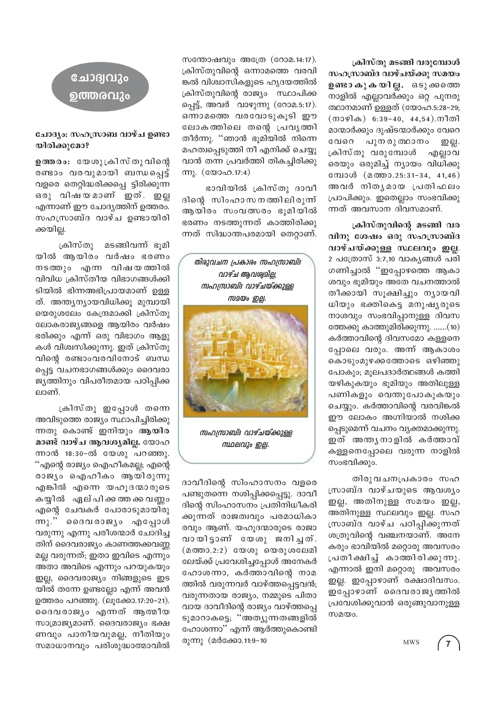ക്രിസ്തു മടങ്ങി വരുമ്പോൾ സഹസ്രാബ്ദ വാഴ്ചയ്ക്കു സമയം <mark>ഉണ്ടാ കു ക യില്ല.</mark> ഒടു ക്കത്തെ നാളിൽ എല്ലാവർക്കും ഒറ്റ പുനരു ത്ഥാനമാണ് ഉള്ളത് (യോഹ.5:28-29;  $($ നാഴിക) 6:39-40, 44,54).നീതി മാന്മാർക്കും ദുഷ്ടന്മാർക്കും വേറെ വേറെ പുന രു ത്ഥാനം ഇല്ല. ക്രിസ്തു വരുമ്പോൾ എല്ലാവ രെയും ഒരുമിച്ച് ന്യായം വിധിക്കു മ്പോൾ (മത്താ.25:31-34, 41,46) അവർ നിതൃമായ പ്രതിഫലം പ്രാപിക്കും. ഇതെല്ലാം സംഭവിക്കു ന്നത് അവസാന ദിവസമാണ്.

ക്രിസ്തുവിന്റെ മടങ്ങി വര വിനു ശേഷം ഒരു സഹസ്രാബ്ദ വാഴ്ചയ്ക്കുള്ള സ്ഥലവും ഇല്ല. 2 പത്രോസ് 3:7,10 വാകൃങ്ങൾ പരി ഗണിച്ചാൽ "ഇപ്പോഴത്തെ ആകാ ശവും ഭുമിയും അതേ വചനത്താൽ തീക്കായി സുക്ഷിച്ചും ന്യായവി ധിയും ഭക്തികെട്ട മനുഷ്യരുടെ നാശവും സംഭവിപ്പാനുള്ള ദിവസ ത്തേക്കു കാത്തുമിരിക്കുന്നു. .......(10) കർത്താവിന്റെ ദിവസമോ കള്ളനെ പ്പോലെ വരും. അന്ന് ആകാശം കൊടുംമുഴക്കത്തോടെ ഒഴിഞ്ഞു പോകും; മൂലപദാർത്ഥങ്ങൾ കത്തി യഴികുകയും ഭൂമിയും അതിലുള്ള പണികളും വെന്തുപോകുകയും ചെയ്യും. കർത്താവിന്റെ വരവിങ്കൽ ഈ ലോകം അഗ്നിയാൽ നശിക്ക പ്പെടുമെന്ന് വചനം വൃക്തമാക്കുന്നു. ഇത് അന്തൃനാളിൽ കർത്താവ് കള്ളനെപ്പോലെ വരുന്ന നാളിൽ സംഭവിക്കും.

തിരുവചനപ്രകാരം സഹ സ്രാബ്ദ വാഴ്ചയുടെ ആവശ്യം ഇല്ല, അതിനുള്ള സമയം ഇല്ല, അതിനുള്ള സ്ഥലവും ഇല്ല. സഹ സ്രാബ്ദ വാഴ്ച പഠിപ്പിക്കുന്നത് ശത്രുവിന്റെ വഞ്ചനയാണ്. അനേ കരും ഭാവിയിൽ മറ്റൊരു അവസരം പ്രതീക്ഷിച്ച് കാത്തിരിക്കുന്നു. എന്നാൽ ഇനി മറ്റൊരു അവസരം ഇല്ല. ഇപ്പോഴാണ് രക്ഷാദിവസം. ഇപ്പോഴാണ് ദൈവരാജൃത്തിൽ പ്രവേശിക്കുവാൻ ഒരുങ്ങുവാനുള്ള സമയം.

**MWS** 

സന്തോഷവും അത്രേ (റോമ.14:17). ക്രിസ്തുവിന്റെ ഒന്നാമത്തെ വരവി ങ്കൽ വിശ്വാസികളുടെ ഹൃദയത്തിൽ ക്രിസ്തുവിന്റെ രാജ്യം സ്ഥാപിക്ക പ്പെട്ട്, അവർ വാഴുന്നു (റോമ.5:17). ഒന്നാമത്തെ വരവോടുകൂടി ഈ ലോകത്തിലെ തന്റെ പ്രവൃത്തി തീർന്നു. ''ഞാൻ ഭൂമിയിൽ നിന്നെ മഹത്വപ്പെടുത്തി നീ എനിക്ക് ചെയ്യു വാൻ തന്ന പ്രവർത്തി തികച്ചിരിക്കു m). (യോഹ.17:4)

ഭാവിയിൽ ക്രിസ്തു ദാവീ ദിന്റെ സിംഹാസനത്തിലിരുന്ന് ആയിരം സംവത്സരം ഭൂമിയിൽ ഭരണം നടത്തുന്നത് കാത്തിരിക്കു ന്നത് സിദ്ധാന്തപരമായി തെറ്റാണ്.



സഹസ്രാബ്ദ വാഴ്ചയ്ക്കുള്ള സ്ഥലവും ഇല്ല.

ദാവീദിന്റെ സിംഹാസനം വളരെ പണ്ടുതന്നെ നശിപ്പിക്കപ്പെട്ടു. ദാവീ ദിന്റെ സിംഹാസനം പ്രതിനിധീകരി ക്കുന്നത് രാജത്വവും പരമാധികാ രവും ആണ്. യഹൂദന്മാരുടെ രാജാ വായിട്ടാണ് യേശു ജനിച്ചത്. (മത്താ.2:2) യേശു യെരുശലേമി ലേയ്ക്ക് പ്രവേശിച്ചപ്പോൾ അനേകർ ഹോശന്നാ, കർത്താവിന്റെ നാമ ത്തിൽ വരുന്നവർ വാഴ്ത്തപ്പെട്ടവൻ; വരുന്നതായ രാജ്യം, നമ്മുടെ പിതാ വായ ദാവീദിന്റെ രാജ്യം വാഴ്ത്തപ്പെ ടുമാറാകട്ടെ; "അത്യുന്നതങ്ങളിൽ ഹോശന്നാ" എന്ന് ആർത്തുകൊണ്ടി രുന്നു (മർക്കോ.11:9-10



### ചോദ്യം: സഹസ്രാബ വാഴ്ച ഉണ്ടാ യിരിക്കുമോ?

ഉത്തരം: യേശുക്രിസ്തുവിന്റെ രണ്ടാം വരവുമായി ബന്ധപ്പെട്ട് വളരെ തെറ്റിദ്ധരിക്കപ്പെ ട്ടിരിക്കുന്ന ഒരു വിഷയമാണ് ഇത്. ഇല്ല എന്നാണ് ഈ ചോദ്യത്തിന് ഉത്തരം. സഹസ്രാബ്ദ വാഴ്ച ഉണ്ടായിരി ക്കയില്ല.

ക്രിസ്തു മടങ്ങിവന്ന് ഭുമി യിൽ ആയിരം വർഷം ഭരണം നടത്തും എന്ന വിഷയത്തിൽ വിവിധ ക്രിസ്തീയ വിഭാഗങ്ങൾക്കി ടിയിൽ ഭിന്നഅഭിപ്രായമാണ് ഉള്ള ത്. അന്ത്യന്യായവിധിക്കു മുമ്പായി യെരുശലേം കേന്ദ്രമാക്കി ക്രിസ്തു ലോകരാജ്യങ്ങളെ ആയിരം വർഷം ഭരിക്കും എന്ന് ഒരു വിഭാഗം ആളു കൾ വിശ്വസിക്കുന്നു. ഇത് ക്രിസ്തു വിന്റെ രണ്ടാംവരവിനോട് ബന്ധ പ്പെട്ട വചനഭാഗങ്ങൾക്കും ദൈവരാ ജ്യത്തിനും വിപരീതമായ പഠിപ്പിക്ക ലാണ്.

ക്രിസ്തു ഇപ്പോൾ തന്നെ അവിടുത്തെ രാജ്യം സ്ഥാപിച്ചിരിക്കു ന്നതു കൊണ്ട് ഇനിയും ആയിര മാണ്ട് വാഴ്ച ആവശ്യമില്ല. യോഹ ന്നാൻ 18:30-ൽ യേശു പറഞ്ഞു. "എന്റെ രാജ്യം ഐഹീകമല്ല; എന്റെ രാജ്യം ഐഹീകം ആയിരുന്നു എങ്കിൽ എന്നെ യഹൂദന്മാരുടെ കയ്യിൽ ഏല് പിക്കത്ത ക്ക വണ്ണം എന്റെ ചേവകർ പോരാടുമായിരു  $m_{\lambda}$ ." ദൈവരാജ്യം എപ്പോൾ വരുന്നു എന്നു പരീശന്മാർ ചോദിച്ച തിന് ദൈവരാജ്യം കാണത്തക്കവണ്ണ മല്ല വരുന്നത്; ഇതാ ഇവിടെ എന്നും അതാ അവിടെ എന്നും പറയുകയും ഇല്ല, ദൈവരാജ്യം നിങ്ങളുടെ ഇട യിൽ തന്നേ ഉണ്ടല്ലോ എന്ന് അവൻ ഉത്തരം പറഞ്ഞു. (ലുക്കോ.17:20-21). ദൈവരാജ്യം എന്നത് ആത്മീയ സാമ്രാജ്യമാണ്. ദൈവരാജ്യം ഭക്ഷ ണവും പാനീയവുമല്ല, നീതിയും സമാധാനവും പരിശുദ്ധാത്മാവിൽ